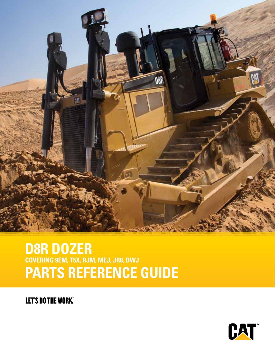

# **D8R DOZER COVERING 9EM, T5X, RJM, MEJ, JR8, DWJ PARTS REFERENCE GUIDE**

**LET'S DO THE WORK.** 

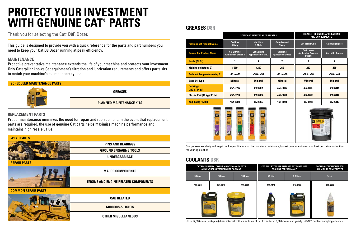|                                     |                                                   | <b>STANDARD MAINTENANCE GREASES</b>               |                                               | <b>GREASES FOR UNIQUE APPLICATIONS</b><br><b>AND ENVIRONMENTS</b>  |                           |  |  |
|-------------------------------------|---------------------------------------------------|---------------------------------------------------|-----------------------------------------------|--------------------------------------------------------------------|---------------------------|--|--|
| <b>Previous Cat Product Name</b>    | <b>Cat Ultra</b><br>5 Moly                        | <b>Cat Ultra</b><br>5 Moly                        | <b>Cat Advanced</b><br>3 Moly                 | <b>Cat Desert Gold</b>                                             | <b>Cat Multipurpose</b>   |  |  |
| <b>Current Cat Product Name</b>     | <b>Cat Extreme</b><br><b>Application Grease 1</b> | <b>Cat Extreme</b><br><b>Application Grease 2</b> | <b>Cat Prime</b><br><b>Application Grease</b> | <b>Cat Extreme</b><br><b>Application Grease -</b><br><b>Desert</b> | <b>Cat Utility Grease</b> |  |  |
| <b>Grade (NLGI)</b>                 | 1                                                 | $\mathbf 2$                                       | $\mathbf{2}$                                  | 2                                                                  | $\mathbf 2$               |  |  |
| <b>Melting point (deg C)</b>        | $>260$                                            | $>260$                                            | 260                                           | 280                                                                | 260                       |  |  |
| <b>Ambient Temperature (deg C)</b>  | $-35$ to $+40$                                    | $-30$ to $+50$                                    | $-20$ to $+40$                                | $-30$ to $+50$                                                     | $-30$ to $+40$            |  |  |
| <b>Base Oil Type</b>                | <b>Mineral</b>                                    | <b>Mineral</b>                                    | <b>Mineral</b>                                | <b>Mineral</b>                                                     | <b>Mineral</b>            |  |  |
| <b>Cartridge</b><br>(390 g / 14 oz) | 452-5996                                          | 452-6001                                          | 452-6006                                      | 452-6016                                                           | 452-6011                  |  |  |
| Plastic Pail (16 kg / 35 lb)        | 452-5999                                          | 452-6004                                          | 452-6009                                      | 452-6019                                                           | 452-6014                  |  |  |
| Keg (55 kg / 120 lb)                | 452-5998                                          | 452-6003                                          | 452-6008                                      | 452-6018                                                           | 452-6013                  |  |  |
| <b>CAT</b>                          | CôT<br>C۵I                                        | CAT                                               |                                               |                                                                    |                           |  |  |





Up to 12,000-hour (or 6-year) drain interval with an addition of Cat Extender at 6,000-hours and yearly S•O•S<sup>sM</sup> coolant sampling analysis.

|            | <b>CAT ELC<sup>®</sup> PREMIX LOWERS MAINTENANCE COSTS</b><br>AND ENSURES EXTENDED LIFE COOLANT |            | <b>COOLANT PERFORMANCE</b> | <b>CAT ELC® EXTENDER ENSURES EXTENDED LIFE</b> | <b>COOLING CONDITIONER FOR</b><br><b>ALUMINUM COMPONENTS</b> |  |  |
|------------|-------------------------------------------------------------------------------------------------|------------|----------------------------|------------------------------------------------|--------------------------------------------------------------|--|--|
| 5 liters   | 20 liters                                                                                       | 210 liters | 0.9 liter                  | 3.8 liters                                     | 74 ml                                                        |  |  |
| 205-6611   | 205-6612                                                                                        | 205-6613   | 119-5152                   | 210-0786                                       | 369-0805                                                     |  |  |
| <b>CAF</b> |                                                                                                 |            |                            | CAT                                            |                                                              |  |  |

## **GREASES D8R**

| SCHEDULED MAINTENANCE PARTS |                                 |  |  |  |  |  |  |
|-----------------------------|---------------------------------|--|--|--|--|--|--|
|                             | <b>GREASES</b>                  |  |  |  |  |  |  |
|                             | <b>PLANNED MAINTENANCE KITS</b> |  |  |  |  |  |  |

This guide is designed to provide you with a quick reference for the parts and part numbers you need to keep your Cat D8 Dozer running at peak efficiency.

#### **MAINTENANCE**

Proactive preventative maintenance extends the life of your machine and protects your investment. Only Caterpillar knows Cat equipment's filtration and lubrication requirements and offers parts kits to match your machine's maintenance cycles.

#### **REPLACEMENT PARTS**



Proper maintenance minimizes the need for repair and replacement. In the event that replacement parts are required, the use of genuine Cat parts helps maximize machine performance and maintains high resale value.

> Our greases are designed to get the longest life, unmatched moisture resistance, lowest component wear and best corrosion protection for your application.

Thank you for selecting the Cat**®** D8R Dozer.

# **PROTECT YOUR INVESTMENT WITH GENUINE CAT® PARTS**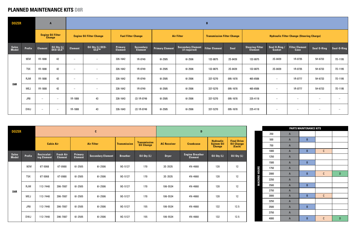# **PLANNED MAINTENANCE KITS D8R**

| <b>DOZER</b>   |                  | $\overline{A}$           |                                           |                                 |                          |                           |                             |                        | $\mathbf{B}$                       |                                   |          |                                                  |                          |                                 |                          |                          |
|----------------|------------------|--------------------------|-------------------------------------------|---------------------------------|--------------------------|---------------------------|-----------------------------|------------------------|------------------------------------|-----------------------------------|----------|--------------------------------------------------|--------------------------|---------------------------------|--------------------------|--------------------------|
|                |                  |                          | <b>Engine Oil Filter</b><br><b>Change</b> | <b>Engine Oil Filter Change</b> |                          | <b>Fuel Filter Change</b> |                             | <b>Air Filter</b>      |                                    | <b>Transmission Filter Change</b> |          | <b>Hydraulic Filter Change (Steering Charge)</b> |                          |                                 |                          |                          |
| Sales<br>Model | Prefix           | <b>Element</b>           | Oil Qty (L)<br>DEO-ULS™                   | <b>Element</b>                  | Oil Qty (L) DEO-<br>ULS™ | <b>Primary</b><br>Element | <b>Secondary</b><br>Element | <b>Primary Element</b> | Secondary Element<br>(if required) | <b>Filter Element</b>             | Seal     | <b>Steering Filter</b><br><b>Element</b>         | Seal O-Ring /<br>Gasket  | <b>Filter Element</b><br>Case   | <b>Seal O-Ring</b>       | Seal-O-Ring              |
|                | 9EM              | 1R-1808                  | 42                                        | $\overline{\phantom{a}}$        | $\overline{\phantom{m}}$ | 326-1642                  | 1R-0749                     | 61-2505                | 61-2506                            | 132-8875                          | 2S-8439  | 132-8875                                         | 2S-8439                  | 1R-0735                         | 5H-6733                  | 7D-1195                  |
|                | T <sub>5</sub> X | 1R-1808                  | 42                                        | $\hspace{0.1mm}-\hspace{0.1mm}$ | $\overline{\phantom{0}}$ | 326-1642                  | 1R-0749                     | 61-2505                | 61-2506                            | 132-8875                          | 2S-8439  | 132-8875                                         | 2S-8439                  | 1R-0735                         | 5H-6733                  | 7D-1195                  |
|                | <b>RJM</b>       | 1R-1808                  | 42                                        | $\overline{\phantom{a}}$        | $\overline{\phantom{0}}$ | 326-1642                  | 1R-0749                     | 61-2505                | 61-2506                            | 337-5270                          | 095-1678 | 465-6506                                         | $\overline{\phantom{0}}$ | 1R-0777                         | 5H-6733                  | 7D-1195                  |
| D8R            | <b>MEJ</b>       | 1R-1808                  | 42                                        | $\overline{\phantom{m}}$        | $\overline{\phantom{0}}$ | 326-1642                  | 1R-0749                     | 61-2505                | 61-2506                            | 337-5270                          | 095-1678 | 465-6506                                         | $\overline{\phantom{0}}$ | 1R-0777                         | 5H-6733                  | 7D-1195                  |
|                | JR8              | $\overline{\phantom{0}}$ | $\overline{\phantom{a}}$                  | 1R-1808                         | 43                       | 326-1643                  | $(2) 1R-0749$               | 61-2505                | 61-2506                            | 337-5270                          | 095-1678 | 225-4118                                         | $\overline{\phantom{0}}$ | $\overline{\phantom{m}}$        | $\overline{\phantom{0}}$ | $\overline{\phantom{0}}$ |
|                | <b>DWJ</b>       | $\overline{\phantom{0}}$ | $\overline{\phantom{a}}$                  | 1R-1808                         | 43                       | 326-1643                  | $(2) 1R-0749$               | $61 - 2505$            | 61-2506                            | 337-5270                          | 095-1678 | 225-4118                                         | $\overline{\phantom{0}}$ | $\hspace{0.1mm}-\hspace{0.1mm}$ | $-$                      | $\overline{\phantom{0}}$ |

| <b>DOZER</b>                 |                  |                            |                                    |                           | $\mathbf c$              |                     |                                          | $\mathbf D$        |                                          |                                                        |                                                   |  |  |
|------------------------------|------------------|----------------------------|------------------------------------|---------------------------|--------------------------|---------------------|------------------------------------------|--------------------|------------------------------------------|--------------------------------------------------------|---------------------------------------------------|--|--|
|                              |                  | <b>Cabin Air</b>           |                                    | <b>Air Filter</b>         |                          | <b>Transmission</b> | <b>Transmission</b><br><b>Oil Change</b> | <b>AC Receiver</b> | <b>Crankcase</b>                         | <b>Hydraulic</b><br><b>System Oil</b><br><b>Change</b> | <b>Final Drive</b><br><b>Oil Change</b><br>(Each) |  |  |
| <b>Sales</b><br><b>Model</b> | Prefix           | Recirculat-<br>ing Element | <b>Fresh Air</b><br><b>Element</b> | Primary<br><b>Element</b> | <b>Secondary Element</b> | <b>Breather</b>     | Oil Qty (L)                              | <b>Dryer</b>       | <b>Engine Breather</b><br><b>Element</b> | Oil Qty (L)                                            | Oil Qty (L)                                       |  |  |
|                              | 9EM              | 6T-5068                    | 6T-0988                            | $61 - 2505$               | 61-2506                  | 9G-5127             | 170                                      | 3E-3535            | 4N-4668                                  | 120                                                    | 12                                                |  |  |
|                              | T <sub>5</sub> X | 6T-5068                    | 6T-0988                            | $61 - 2505$               | 61-2506                  | 9G-5127             | 170                                      | 3E-3535            | 4N-4668                                  | 120                                                    | 12                                                |  |  |
| D8R                          | <b>RJM</b>       | 112-7448                   | 396-7087                           | $61 - 2505$               | $61 - 2506$              | 9G-5127             | 170                                      | 106-5534           | 4N-4668                                  | 120                                                    | 12                                                |  |  |
|                              | MEJ              | 112-7448                   | 396-7087                           | $61 - 2505$               | $61 - 2506$              | 9G-5127             | 170                                      | 106-5534           | 4N-4668                                  | 120                                                    | 12                                                |  |  |
|                              | JR8              | 112-7448                   | 396-7087                           | $61 - 2505$               | 61-2506                  | 9G-5127             | 155                                      | 106-5534           | 4N-4668                                  | 132                                                    | 12.5                                              |  |  |
|                              | <b>DWJ</b>       | 112-7448                   | 396-7087                           | $61 - 2505$               | 61-2506                  | 9G-5127             | 155                                      | 106-5534           | 4N-4668                                  | 132                                                    | 12.5                                              |  |  |

|      |             | PARTS MAINTENANCE KITS |               |   |
|------|-------------|------------------------|---------------|---|
| 250  | $\mathsf A$ |                        |               |   |
| 500  | $\mathsf A$ | $\sf B$                |               |   |
| 750  | $\mathsf A$ |                        |               |   |
| 1000 | $\mathsf A$ | $\sf B$                | $\mathbb C$   |   |
| 1250 | $\mathsf A$ |                        |               |   |
| 1500 | $\mathsf A$ | $\sf B$                |               |   |
| 1750 | $\mathsf A$ |                        |               |   |
| 2000 | $\mathsf A$ | $\sf B$                | $\mathbb C$   | D |
| 2250 | $\mathsf A$ |                        |               |   |
| 2500 | A           | $\sf B$                |               |   |
| 2750 | $\mathsf A$ |                        |               |   |
| 3000 | $\mathsf A$ | $\sf B$                | $\mathbf C$   |   |
| 3250 | $\mathsf A$ |                        |               |   |
| 3500 | $\mathsf A$ | $\sf B$                |               |   |
| 3750 | A           |                        |               |   |
| 4000 | $\mathsf A$ | $\sf B$                | ${\mathbb C}$ | D |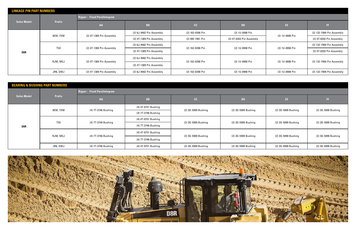| <b>LINKAGE PIN PART NUMBERS</b> |                  |                                     |                          |                  |                          |                 |                           |  |  |  |  |
|---------------------------------|------------------|-------------------------------------|--------------------------|------------------|--------------------------|-----------------|---------------------------|--|--|--|--|
|                                 |                  | <b>Ripper - Fixed Parallelogram</b> |                          |                  |                          |                 |                           |  |  |  |  |
| <b>Sales Model</b>              | <b>Prefix</b>    | AA                                  | <b>BB</b>                | cc               | <b>DD</b>                | EE.             | FF.                       |  |  |  |  |
|                                 | 9EM, 7XM         | (2) 4T-1389 Pin Assembly            | (2) 6J-9482 Pin Assembly | (2) 162-0390 Pin | (2) 1U-0990 Pin          | (2) 1U-0990 Pin | (2) 132-7994 Pin Assembly |  |  |  |  |
|                                 |                  |                                     | (2) 4T-1389 Pin Assembly | (2) 9W-7991 Pin  | (2) 4T-0203 Pin Assembly |                 | (2) 4T-0203 Pin Assembly  |  |  |  |  |
|                                 |                  |                                     | (2) 6J-9482 Pin Assembly |                  |                          |                 | (2) 132-7994 Pin Assembly |  |  |  |  |
| D8R                             | T <sub>5</sub> X | (2) 4T-1389 Pin Assembly            | (2) 4T-1389 Pin Assembly | (2) 162-0390 Pin | (2) 1U-0990 Pin          | (2) 1U-0990 Pin | (2) 4T-0203 Pin Assembly  |  |  |  |  |
|                                 | RJM, MEJ         |                                     | (2) 6J-9482 Pin Assembly | (2) 162-0390 Pin | (2) 1U-0990 Pin          | (2) 1U-0990 Pin | (2) 132-7994 Pin Assembly |  |  |  |  |
|                                 |                  | (2) 4T-1389 Pin Assembly            | (2) 4T-1389 Pin Assembly |                  |                          |                 |                           |  |  |  |  |
|                                 | JR8, DWJ         | (2) 4T-1389 Pin Assembly            | (2) 6J-9482 Pin Assembly | (2) 162-0390 Pin | (2) 1U-0990 Pin          | (2) 1U-0990 Pin | (2) 132-7994 Pin Assembly |  |  |  |  |

| <b>BEARING &amp; BUSHING PART NUMBERS</b> |                  |                                     |                     |                     |                     |                     |                     |  |
|-------------------------------------------|------------------|-------------------------------------|---------------------|---------------------|---------------------|---------------------|---------------------|--|
|                                           |                  | <b>Ripper - Fixed Parallelogram</b> |                     |                     |                     |                     |                     |  |
| Sales Model                               | <b>Prefix</b>    | AA                                  | <b>BB</b>           | cc                  | <b>DD</b>           | EE.                 | FF.                 |  |
|                                           | 9EM, 7XM         | (4) 7T-3746 Bushing                 | (4) 4T-9751 Bushing | (2) 3G-5999 Bushing | (2) 3G-5999 Bushing | (2) 3G-5999 Bushing | (2) 3G-5999 Bushing |  |
|                                           |                  |                                     | (4) 7T-3746 Bushing |                     |                     |                     |                     |  |
|                                           | T <sub>5</sub> X |                                     | (4) 4T-9751 Bushing |                     |                     |                     | (2) 3G-5999 Bushing |  |
| D8R                                       |                  | (4) 7T-3746 Bushing                 | (4) 7T-3746 Bushing | (2) 3G-5999 Bushing | (2) 3G-5999 Bushing | (2) 3G-5999 Bushing |                     |  |
|                                           | RJM, MEJ         | (4) 7T-3746 Bushing                 | (4) 4T-9751 Bushing | (2) 3G-5999 Bushing | (2) 3G-5999 Bushing | (2) 3G-5999 Bushing |                     |  |
|                                           |                  |                                     | (4) 7T-3746 Bushing |                     |                     |                     | (2) 3G-5999 Bushing |  |
|                                           | JR8, DWJ         | (4) 7T-3746 Bushing                 | (4) 4T-9751 Bushing | (2) 3G-5999 Bushing | (2) 3G-5999 Bushing | (2) 3G-5999 Bushing | (2) 3G-5999 Bushing |  |

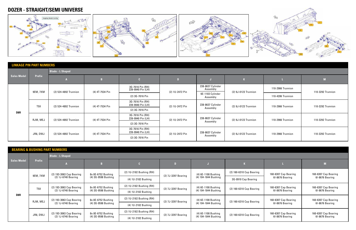![](_page_4_Figure_1.jpeg)

|                    | <b>LINKAGE PIN PART NUMBERS</b> |                         |                 |                                       |                 |                               |                      |                   |                   |
|--------------------|---------------------------------|-------------------------|-----------------|---------------------------------------|-----------------|-------------------------------|----------------------|-------------------|-------------------|
|                    |                                 | <b>Blade - L Shaped</b> |                 |                                       |                 |                               |                      |                   |                   |
| <b>Sales Model</b> | <b>Prefix</b>                   |                         | B               |                                       |                 |                               |                      |                   |                   |
|                    | 9EM, 7XM                        | (2) 524-4892 Trunnion   | (4) 4T-7534 Pin | 3G-7016 Pin (RH)<br>239-9940 Pin (LH) | (2) 1U-2472 Pin | 238-8637 Cylinder<br>Assembly | (2) 9J-0123 Trunnion | 110-2966 Trunnion | 110-3292 Trunnion |
|                    |                                 |                         |                 | (2) 3G-7016 Pin                       |                 | 6E-1103 Cylinder<br>Assembly  |                      | 110-4206 Trunnion |                   |
|                    | T <sub>5</sub> X                | (2) 524-4892 Trunnion   | (4) 4T-7534 Pin | 3G-7016 Pin (RH)<br>239-9940 Pin (LH) | (2) 1U-2472 Pin | 238-8637 Cylinder             | (2) 9J-0123 Trunnion | 110-2966 Trunnion | 110-3292 Trunnion |
| D8R                |                                 |                         |                 | (2) 3G-7016 Pin                       |                 | Assembly                      |                      |                   |                   |
|                    | RJM, MEJ                        | (2) 524-4892 Trunnion   | (4) 4T-7534 Pin | 3G-7016 Pin (RH)<br>239-9940 Pin (LH) | (2) 1U-2472 Pin | 238-8637 Cylinder             | (2) 9J-0123 Trunnion | 110-2966 Trunnion | 110-3292 Trunnion |
|                    |                                 |                         |                 | (2) 3G-7016 Pin                       |                 | Assembly                      |                      |                   |                   |
|                    | JR8, DWJ                        | (2) 524-4892 Trunnion   | (4) 4T-7534 Pin | 3G-7016 Pin (RH)<br>239-9940 Pin (LH) | (2) 1U-2472 Pin | 238-8637 Cylinder             | (2) 9J-0123 Trunnion | 110-2966 Trunnion | 110-3292 Trunnion |
|                    |                                 |                         |                 | (2) 3G-7016 Pin                       |                 | Assembly                      |                      |                   |                   |

|                    |                  | <b>BEARING &amp; BUSHING PART NUMBERS</b>       |                                           |                          |                     |                                             |                          |                      |                      |
|--------------------|------------------|-------------------------------------------------|-------------------------------------------|--------------------------|---------------------|---------------------------------------------|--------------------------|----------------------|----------------------|
|                    |                  | <b>Blade - L Shaped</b>                         |                                           |                          |                     |                                             |                          |                      |                      |
| <b>Sales Model</b> | <b>Prefix</b>    |                                                 | <b>IB</b>                                 |                          |                     |                                             |                          |                      |                      |
|                    | 9EM, 7XM         | (2) 193-3063 Cap Bearing                        | 8x 8E-6752 Bushing                        | (2) 1U-2182 Bushing (RH) | (2) 7J-3297 Bearing | (4) 6E-1108 Bushing<br>(4) 104-1844 Bushing | (2) 160-6310 Cap Bearing | 160-6307 Cap Bearing | 160-6307 Cap Bearing |
|                    |                  | (2) 1J-6740 Bearing                             | (4) 3G-9598 Bushing                       | (4) 1U-2182 Bushing      |                     |                                             | 3G-0910 Cap Bearing      | 61-8676 Bearing      | 61-8676 Bearing      |
|                    |                  | (2) 193-3063 Cap Bearing                        | 8x 8E-6752 Bushing                        | (2) 1U-2182 Bushing (RH) | (2) 7J-3297 Bearing | (4) 6E-1108 Bushing                         | (2) 160-6310 Cap Bearing | 160-6307 Cap Bearing | 160-6307 Cap Bearing |
| D <sub>8</sub> R   | T <sub>5</sub> X | (2) 1J-6740 Bearing                             | (4) 3G-9598 Bushing                       | (4) 1U-2182 Bushing      |                     | (4) 104-1844 Bushing                        |                          | 61-8676 Bearing      | 61-8676 Bearing      |
|                    | RJM, MEJ         | (2) 193-3063 Cap Bearing                        | 8x 8E-6752 Bushing                        | (2) 1U-2182 Bushing (RH) | (2) 7J-3297 Bearing | (4) 6E-1108 Bushing                         | (2) 160-6310 Cap Bearing | 160-6307 Cap Bearing | 160-6307 Cap Bearing |
|                    |                  | (2) 1J-6740 Bearing                             | (4) 3G-9598 Bushing                       | (4) 1U-2182 Bushing      |                     | (4) 104-1844 Bushing                        |                          | 61-8676 Bearing      | 61-8676 Bearing      |
|                    |                  | (2) 193-3063 Cap Bearing<br>(2) 1J-6740 Bearing | 8x 8E-6752 Bushing<br>(4) 3G-9598 Bushing | (2) 1U-2182 Bushing (RH) |                     | (4) 6E-1108 Bushing                         |                          | 160-6307 Cap Bearing | 160-6307 Cap Bearing |
|                    | JR8, DWJ         |                                                 |                                           | (4) 1U-2182 Bushing      | (2) 7J-3297 Bearing | (4) 104-1844 Bushing                        | (2) 160-6310 Cap Bearing | 61-8676 Bearing      | 61-8676 Bearing      |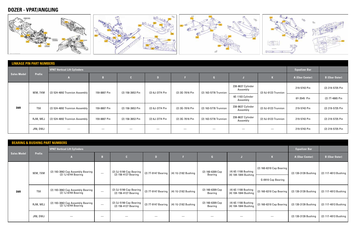# **DOZER - VPAT/ANGLING**

![](_page_5_Figure_1.jpeg)

|                    | <b>LINKAGE PIN PART NUMBERS</b> |                                     |              |                  |                 |                 |                       |                               |                      |                      |                       |
|--------------------|---------------------------------|-------------------------------------|--------------|------------------|-----------------|-----------------|-----------------------|-------------------------------|----------------------|----------------------|-----------------------|
|                    |                                 | <b>VPAT Vertical Lift Cylinders</b> |              |                  |                 |                 |                       |                               |                      | <b>Equalizer Bar</b> |                       |
| <b>Sales Model</b> | <b>Prefix</b>                   |                                     |              |                  |                 |                 |                       |                               |                      | A (Ebar Center)      | <b>B</b> (Ebar Outer) |
|                    | 9EM, 7XM                        | (2) 524-4892 Trunnion Assembly      | 159-8807 Pin | (2) 158-3653 Pin | (2) 6J-3774 Pin | (2) 3G-7016 Pin | (2) 163-5778 Trunnion | 238-8637 Cylinder<br>Assembly | (2) 9J-0123 Trunnion | 219-5743 Pin         | (2) 219-5735 Pin      |
|                    |                                 |                                     |              |                  |                 |                 |                       | 6E-1103 Cylinder<br>Assembly  |                      | 6Y-3545 Pin          | (2) 7T-4865 Pin       |
| D8R                | T <sub>5</sub> X                | (2) 524-4892 Trunnion Assembly      | 159-8807 Pin | (2) 158-3653 Pin | (2) 6J-3774 Pin | (2) 3G-7016 Pin | (2) 163-5778 Trunnion | 238-8637 Cylinder<br>Assembly | (2) 9J-0123 Trunnion | 219-5743 Pin         | (2) 219-5735 Pin      |
|                    | RJM, MEJ                        | (2) 524-4892 Trunnion Assembly      | 159-8807 Pin | (2) 158-3653 Pin | (2) 6J-3774 Pin | (2) 3G-7016 Pin | (2) 163-5778 Trunnion | 238-8637 Cylinder<br>Assembly | (2) 9J-0123 Trunnion | 219-5743 Pin         | (2) 219-5735 Pin      |
|                    | JR8, DWJ                        | $\overbrace{\hspace{25mm}}^{}$      |              |                  |                 |                 |                       |                               |                      | 219-5743 Pin         | (2) 219-5735 Pin      |

|                    |                  | <b>BEARING &amp; BUSHING PART NUMBERS</b>                |                                 |                                                 |                     |                     |                                    |                                             |                          |                      |                       |
|--------------------|------------------|----------------------------------------------------------|---------------------------------|-------------------------------------------------|---------------------|---------------------|------------------------------------|---------------------------------------------|--------------------------|----------------------|-----------------------|
|                    |                  | <b>VPAT Vertical Lift Cylinders</b>                      |                                 |                                                 |                     |                     |                                    |                                             |                          | <b>Equalizer Bar</b> |                       |
| <b>Sales Model</b> | <b>Prefix</b>    |                                                          |                                 |                                                 |                     |                     |                                    |                                             |                          | A (Ebar Center)      | <b>B</b> (Ebar Outer) |
|                    | 9EM, 7XM         | (2) 193-3063 Cap Assembly Bearing<br>(2) 1J-6744 Bearing | $\overline{\phantom{a}}$        | (2) 3J-5190 Cap Bearing<br>(2) 156-4127 Bearing | (2) 7T-9147 Bearing | (4) 1U-2182 Bushing | (2) 160-6309 Cap<br><b>Bearing</b> | (4) 6E-1108 Bushing<br>(4) 104-1844 Bushing | (2) 160-6310 Cap Bearing | (2) 130-3139 Bushing | (2) 117-4013 Bushing  |
|                    |                  |                                                          |                                 |                                                 |                     |                     |                                    |                                             | G-0910 Cap Bearing       |                      |                       |
| D8R                | T <sub>5</sub> X | (2) 193-3063 Cap Assembly Bearing<br>(2) 1J-6744 Bearing | $\overline{\phantom{m}}$        | (2) 3J-5190 Cap Bearing<br>(2) 156-4127 Bearing | (2) 7T-9147 Bearing | (4) 1U-2182 Bushing | (2) 160-6309 Cap<br>Bearing        | (4) 6E-1108 Bushing<br>(4) 104-1844 Bushing | (2) 160-6310 Cap Bearing | (2) 130-3139 Bushing | (2) 117-4013 Bushing  |
|                    | RJM, MEJ         | (2) 193-3063 Cap Assembly Bearing<br>(2) 1J-6744 Bearing | $\hspace{0.1mm}-\hspace{0.1mm}$ | (2) 3J-5190 Cap Bearing<br>(2) 156-4127 Bearing | (2) 7T-9147 Bearing | (4) 1U-2182 Bushing | (2) 160-6309 Cap<br>Bearing        | (4) 6E-1108 Bushing<br>(4) 104-1844 Bushing | (2) 160-6310 Cap Bearing | (2) 130-3139 Bushing | (2) 117-4013 Bushing  |
|                    | JR8, DWJ         |                                                          | $\hspace{0.1mm}-\hspace{0.1mm}$ |                                                 | $\hspace{0.05cm}$   |                     |                                    |                                             |                          | (2) 130-3139 Bushing | (2) 117-4013 Bushing  |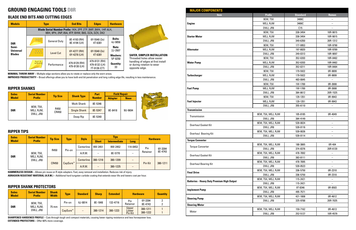## **GROUND ENGAGING TOOLS D8R**

| <b>Models</b>                                                | <b>Type</b>                                                                                                        |                              | <b>End Bits</b>                | <b>Edges</b>                                   | <b>Hardware</b>                   |  |  |  |
|--------------------------------------------------------------|--------------------------------------------------------------------------------------------------------------------|------------------------------|--------------------------------|------------------------------------------------|-----------------------------------|--|--|--|
|                                                              | Blade Serial Number Prefix: 1KH, 2PP, 2TP, 3MP, 3WH, 1HP, 6LH,<br>9BH, 9PH, 2NP, 05A, 9TP, BHW, B8S, DZA, DZX, DK2 |                              |                                |                                                |                                   |  |  |  |
| D8R                                                          | 000<br>0000                                                                                                        | <b>General Duty</b>          | 8E-4193 (RH)<br>8E-4194 (LH)   | $6Y-5540(2x)$<br>4T-6381                       | <b>Bolts:</b><br>4J-9058<br>Nuts: |  |  |  |
| Semi-<br><b>Universal</b><br>$0.9 - 0.$<br><br><b>Blades</b> | Level Cut                                                                                                          | 6Y-4277 (RH)<br>6Y-4278 (LH) | $6Y-5540(2x)$<br>4T-6381       |                                                |                                   |  |  |  |
|                                                              | 0.000                                                                                                              | Performance                  | 479-8129 (RH)<br>479-8130 (LH) | 479-8131 (RH)<br>479-8132 (LH)<br>7T-9126 (CT) | 5P-8250<br><b>Quantity:</b><br>33 |  |  |  |

| <b>Sales</b>                              | <b>Serial Number</b> |                     |                   | Part          | <b>Field Repair</b> |             |
|-------------------------------------------|----------------------|---------------------|-------------------|---------------|---------------------|-------------|
| <b>Model</b>                              | <b>Prefix</b>        | <b>Tip Size</b>     | <b>Shank Type</b> | <b>Number</b> | <b>Adapter</b>      | <b>Nose</b> |
| 9EM, T5X,<br>D8R<br>MEJ, RJM,<br>DWJ, JR8 | R450<br>CR450        | Multi Shank         | 8E-5346           | 8E-8418       | 9U-9694             |             |
|                                           |                      | <b>Single Shank</b> | 8E-5347           |               |                     |             |
|                                           |                      | Deep Rip            | 8E-5340           |               |                     |             |

| <b>Sales</b> | <b>Serial Number</b>  | <b>Tip Size</b> |                   |                             |          | <b>Tips</b>         |             | <b>Hardware</b> |         |
|--------------|-----------------------|-----------------|-------------------|-----------------------------|----------|---------------------|-------------|-----------------|---------|
| <b>Model</b> | <b>Prefix</b>         |                 |                   | <b>Style</b><br><b>Type</b> |          | <b>Intermediate</b> | <b>Long</b> |                 |         |
|              |                       | R450            |                   | Centerline                  | 9W-2451  | 9W-2452             | 114-0453    | Pin             | 6Y-3394 |
| 9EM, T5X,    |                       | Pin-on          | A.R.M.            |                             | 8E-5770  |                     | Retainer    | 8E-4743         |         |
| D8R          | MEJ, RJM,<br>DWJ, JR8 | CapSure™        | <b>Centerline</b> | 380-1218                    | 380-1209 |                     | Pin Kit     |                 |         |
|              | <b>CR450</b>          |                 | A.R.M.            |                             | 380-1225 |                     |             | 380-1211        |         |

**SHARPENED HARDENED PROFILE –** Cuts through tough and compact materials, causing lower ripping resistance and less horsepower loss. **EXTENDED PROTECTORS** - Offer 60% more coverage.

![](_page_6_Picture_14.jpeg)

| <b>Sales</b><br><b>Model</b>              | <b>Serial Number</b><br><b>Prefix</b> | <b>Shank</b><br><b>Width</b> | <b>Type</b>       | <b>Standard</b> | <b>Sharp</b> | <b>Extended</b>           |                      | <b>Hardware</b> | <b>Quantity</b> |
|-------------------------------------------|---------------------------------------|------------------------------|-------------------|-----------------|--------------|---------------------------|----------------------|-----------------|-----------------|
| 9EM, T5X,<br>D8R<br>MEJ, RJM,<br>DWJ, JR8 |                                       | Pin-on                       | 6J-8814           | 8E-1848         | 132-4716     | Pin<br>Retainer           | 6Y-3394<br>8E-4743   |                 |                 |
|                                           | 75 mm                                 | CapSure <sup>™</sup>         | $\qquad \qquad -$ | 380-1214        | 380-1223     | Upper<br>Lower<br>Pin Kit | 380-1211<br>380-1222 |                 |                 |

### **BLADE END BITS AND CUTTING EDGES**

#### **RIPPER SHANKS**

### **RIPPER TIPS**

#### **RIPPER SHANK PROTECTORS**

**MINIMAL THROW AWAY –** Multiple edge sections allow you to rotate or replace only the worn areas.

**IMPROVED PRODUCTIVITY –** Broad offerings allow you to have both end bit penetration and long cutting edge life, resulting in less maintenance.

**HAMMERLESS DESIGN –** Allows pin reuse on R style adapters. Fast, easy removal and installation. Reduces risk of injury.

#### **ABRASION RESISTANT MATERIAL (A.R.M.) –** Additional hard tungsten carbide coating that extends wear life and lowers cost per hour.

**SAFER, SIMPLER INSTALLATION**  Threaded holes allow easier handling of edges at first install or during rotation to wear opposite edge.

| <b>MAJOR COMPONENTS</b>                           |                    |                 |                          |
|---------------------------------------------------|--------------------|-----------------|--------------------------|
| <b>Item</b>                                       | <b>Prefix</b>      | <b>Standard</b> | <b>Reman</b>             |
|                                                   | 9EM, T5X           | 3406C           |                          |
| <b>Engine</b>                                     | MEJ, RJM           | 3406C           | $\overline{\phantom{0}}$ |
|                                                   | DWJ, JR8           | C15             |                          |
|                                                   | 9EM, T5X           | 338-3454        | 10R-9815                 |
| <b>Starter Motor</b>                              | MEJ, RJM           | 338-3454        | 10R-9815                 |
|                                                   | DWJ, JR8           | 349-6350        | 20R-1312                 |
|                                                   | 9EM, T5X           | 177-9953        | 10R-9790                 |
| <b>Alternator</b>                                 | MEJ, RJM           | 197-8820        | 10R-9789                 |
|                                                   | DWJ, JR8           | 249-0313        | 10R-9097                 |
|                                                   | 9EM, T5X           | 352-0203        | 10R-0482                 |
| <b>Water Pump</b>                                 | MEJ, RJM           | 352-0203        | 10R-0482                 |
|                                                   | DWJ, JR8           | 352-0211        | 10R-0484                 |
|                                                   | 9EM, T5X           | 179-5922        | 0R-9899                  |
| <b>Turbocharger</b>                               | MEJ, RJM           | 179-5922        | 0R-9899                  |
|                                                   | DWJ, JR8           | 483-0845        | $\qquad \qquad -$        |
|                                                   | 9EM, T5X           | 1W-1700         | 0R-3008                  |
| <b>Fuel Pump</b>                                  | MEJ, RJM           | 1W-1700         | 0R-3008                  |
|                                                   | DWJ, JR8           | 384-8612        | 20R-1525                 |
|                                                   | 9EM, T5X           | 129-1351        | 0R-9943                  |
| <b>Fuel Injector</b>                              | MEJ, RJM           | 129-1351        | 0R-9943                  |
|                                                   | DWJ, JR8           | 355-6110        | $\overline{\phantom{0}}$ |
| <b>Transmission</b>                               |                    |                 |                          |
|                                                   | 9EM, T5X, MEJ, RJM | 105-8185        | 0R-4049                  |
| Transmission                                      | DWJ, JR8           | 384-4149        | $\overline{\phantom{0}}$ |
|                                                   | 9EM, T5X, MEJ, RJM | 539-0024        |                          |
| Overhaul Gasket Kit                               | DWJ, JR8           | 539-0116        | $\overline{\phantom{0}}$ |
|                                                   | 9EM, T5X, MEJ, RJM | 539-0026        | -                        |
| Overhaul Bearing Kit                              | DWJ, JR8           | 539-0114        |                          |
| Torque Converter                                  |                    |                 |                          |
|                                                   | 9EM, T5X, MEJ, RJM | 188-3865        | 0R-404                   |
| <b>Torque Converter</b>                           | DWJ, JR8           | 374-8376        | 20R-6120                 |
|                                                   | 9EM, T5X, MEJ, RJM | 478-7892        | $\overline{\phantom{0}}$ |
| Overhaul Gasket Kit                               | DWJ, JR8           | 383-8111        | $\overline{\phantom{0}}$ |
|                                                   | 9EM, T5X, MEJ, RJM | 478-7895        | $\overline{\phantom{0}}$ |
| <b>Overhaul Bearing Kit</b>                       | DWJ, JR8           | 539-0523        |                          |
|                                                   | 9EM, T5X, MEJ, RJM | 336-5750        | 0R-2310                  |
| <b>Final Drive</b>                                | DWJ, JR8           | 336-5750        | 0R-2310                  |
|                                                   | 9EM, T5X, MEJ, RJM | 115-2421        | $\qquad \qquad -$        |
| <b>Batteries - Heavy Duty Premium High Output</b> | DWJ, JR8           | 115-2421        |                          |
|                                                   | 9EM, T5X, MEJ, RJM | 9T-8346         | 0R-8503                  |
| <b>Implement Pump</b>                             | DWJ, JR8           | 495-7571        | $\overline{\phantom{0}}$ |
|                                                   | 9EM, T5X, MEJ, RJM | 421-1808        | 0R-4612                  |
| <b>Steering Pump</b>                              | DWJ, JR8           |                 | 20R-7025                 |
|                                                   |                    | 325-9788        |                          |
| <b>Steering Motor</b>                             |                    |                 |                          |
| Motor                                             | 9EM, T5X, MEJ, RJM | 159-7162        | 0R-4613                  |
|                                                   | DWJ, JR8           | 252-5127        | 10R-4579                 |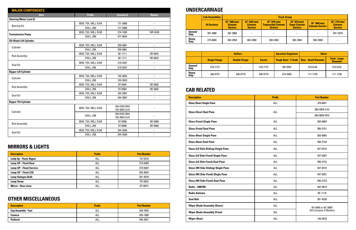| <b>MAJOR COMPONENTS</b>        |                    |                                |                          |
|--------------------------------|--------------------|--------------------------------|--------------------------|
| <b>Item</b>                    | <b>Prefix</b>      | <b>Standard</b>                | <b>Reman</b>             |
| <b>Steering Motor (cont'd)</b> |                    |                                |                          |
| <b>Bearing Kit</b>             | 9EM, T5X, MEJ, RJM | 171-5989                       | $\overline{\phantom{0}}$ |
|                                | DWJ, JR8           | 171-5989                       | $\equiv$                 |
| <b>Transmission Pump</b>       | 9EM, T5X, MEJ, RJM | 374-1605                       | 10R-3428                 |
|                                | DWJ, JR8           | 477-9824                       |                          |
| <b>SU-Blade Lift Cylinder</b>  |                    |                                |                          |
| Cylinder                       | 9EM, T5X, MEJ, RJM | 250-5861                       | $\qquad \qquad -$        |
|                                | DWJ, JR8           | 250-5861                       | $\qquad \qquad -$        |
|                                | 9EM, T5X, MEJ, RJM | 6E-1111                        | 0R-8922                  |
| <b>Rod Assembly</b>            | DWJ, JR8           | 6E-1111                        | 0R-8922                  |
|                                | 9EM, T5X, MEJ, RJM | 319-3557                       | $\overline{\phantom{0}}$ |
| Seal Kit                       | DWJ, JR8           | 319-3557                       | $\overline{\phantom{0}}$ |
| <b>Ripper Lift Cylinder</b>    |                    |                                |                          |
|                                | 9EM, T5X, MEJ, RJM | 155-3653                       | $\overline{\phantom{0}}$ |
| Cylinder                       | DWJ, JR8           | 155-3653                       | $-$                      |
| <b>Rod Assembly</b>            | 9EM, T5X, MEJ, RJM | 9T-0584                        | 0R-3082                  |
|                                | DWJ, JR8           | 9T-0584                        | 0R-3082                  |
| Seal Kit                       | 9EM, T5X, MEJ, RJM | 244-2067                       | $\overline{\phantom{0}}$ |
|                                | DWJ, JR8           | 244-2067                       | $\equiv$                 |
| <b>Ripper Tilt Cylinder</b>    |                    |                                |                          |
|                                | 9EM, T5X, MEJ, RJM | 165-0102 (RH)<br>155-3652 (LH) | $\overline{\phantom{0}}$ |
| Cylinder                       | DWJ, JR8           | 165-0102 (RH)<br>155-3652 (LH) |                          |
|                                | 9EM, T5X, MEJ, RJM | 9T-0098                        | 0R-3080                  |
| <b>Rod Assembly</b>            | DWJ, JR8           | 9T-0098                        | 0R-3080                  |
| Seal Kit                       | 9EM, T5X, MEJ, RJM | 244-2050                       | $\overline{\phantom{0}}$ |
|                                | DWJ, JR8           | 244-2050                       | $\qquad \qquad -$        |

|                             | <b>Link Assemblies</b> |                                                     | <b>Track Group</b>                                          |                                                                 |                                                         |                                         |                                                     |  |
|-----------------------------|------------------------|-----------------------------------------------------|-------------------------------------------------------------|-----------------------------------------------------------------|---------------------------------------------------------|-----------------------------------------|-----------------------------------------------------|--|
|                             | <b>44 Sections</b>     | $22''$ (560 mm)<br><b>Extreme</b><br><b>Service</b> | $24'' (610 \text{ mm})$<br><b>Extreme</b><br><b>Service</b> | $24''$ (610 mm)<br><b>Trapexoidal Extreme</b><br><b>Service</b> | 24'' (610 mm)<br><b>Super Extreme</b><br><b>Service</b> | 26'' (660 mm)<br><b>Extreme Service</b> | $28''$ (710 mm)<br><b>Extreme</b><br><b>Service</b> |  |
| General<br><b>Duty</b>      | 391-3968               | 391-3968                                            | -                                                           |                                                                 |                                                         |                                         | 391-3970                                            |  |
| <b>Heavy</b><br><b>Duty</b> | 272-6009               | 384-2954                                            | 384-2960                                                    | 384-2962                                                        | 384-2964                                                | 384-2968                                |                                                     |  |

|                             | <b>Rollers</b>       |                      |                | <b>Sprocket Segments</b>     |                              | <b>Idlers</b>                           |  |
|-----------------------------|----------------------|----------------------|----------------|------------------------------|------------------------------|-----------------------------------------|--|
|                             | <b>Single Flange</b> | <b>Double Flange</b> | <b>Carrier</b> | <b>Tough Steel - 5 Teeth</b> | <b>Rear - Small Diameter</b> | <b>Front - Large</b><br><b>Diameter</b> |  |
| General<br><b>Duty</b>      | 419-7172             | -                    | 419-7172       | 397-9557                     | 415-6134                     | 415-6132                                |  |
| <b>Heavy</b><br><b>Duty</b> | 246-0775             | 246-0779             | 246-0775       | 314-5462                     | 111-1729                     | 111-1730                                |  |

# **UNDERCARRIAGE**

| <b>Description</b>                         | <b>Prefix</b> | <b>Part Number</b>      |
|--------------------------------------------|---------------|-------------------------|
| <b>Glass (Door) Single Pane</b>            | ALL           | 379-6657                |
| <b>Glass (Door) Dual Pane</b>              | ALL           | 389-0855 (LH)           |
|                                            |               | 389-0856 (RH)           |
| <b>Glass (Front) Single Pane</b>           | ALL           | 383-6864                |
| <b>Glass (Front) Dual Pane</b>             | ALL           | 390-3151                |
| <b>Glass (Rear) Single Pane</b>            | ALL           | 383-6865                |
| <b>Glass (Rear) Dual Pane</b>              | ALL           | 390-3154                |
| <b>Glass (LH Side-Sliding) Single Pane</b> | ALL           | 447-0316                |
| <b>Glass (LH Side-Fixed) Single Pane</b>   | ALL           | 447-0307                |
| <b>Glass (LH Side-Fixed) Dual Pane</b>     | <b>ALL</b>    | 390-3152                |
| <b>Glass (RH Side-Sliding) SIngle Pane</b> | ALL           | 447-0310                |
| <b>Glass (RH Side-Fixed) SIngle Pane</b>   | ALL           | 447-0301                |
| <b>Glass (RH Side-Fixed) Dual Pane</b>     | ALL           | 390-3153                |
| Radio - AM/FM                              | ALL           | 462-9619                |
| <b>Radio Antenna</b>                       | ALL           | 8E-1118                 |
| <b>Seat Belt</b>                           | ALL           | 381-4538                |
| <b>Wiper Blade Assembly (Doors)</b>        | ALL           | 6V-5849 or 8C-5060      |
| <b>Wiper Blade Assembly (Front)</b>        | ALL           | (Kit Contains 2 Blades) |
| <b>Wiper (Rear)</b>                        | <b>ALL</b>    | 146-6433                |

| <b>Description</b>             | <b>Prefix</b> | <b>Part Number</b> |
|--------------------------------|---------------|--------------------|
| Lamp Gp - Flood, Ripper        | ALL           | 147-0319           |
| Lamp GP - Flood Rear           | ALL           | 219-6485           |
| <b>Lamp GP - Flood Service</b> | ALL           | 219-6487           |
| Lamp GP - Flood LED            | ALL           | 383-8634           |
| <b>Lamp Halogen Bulb</b>       | ALL           | 351-9918           |
| <b>Lamp Dome</b>               | ALL           | 7N-9943            |
| <b>Mirror - Rear-view</b>      | ALL           | 5P-6874            |

| <b>Description</b>         | <b>Prefix</b> | <b>Part Number</b> |
|----------------------------|---------------|--------------------|
| <b>Cap Assembly - Fuel</b> | ALL           | 349-7059           |
| Camera                     | all           | 459-1800           |
| <b>Padlock</b>             | ALL           | 246-2641           |

# **CAB RELATED**

# **MIRRORS & LIGHTS**

# **OTHER MISCELLANEOUS**